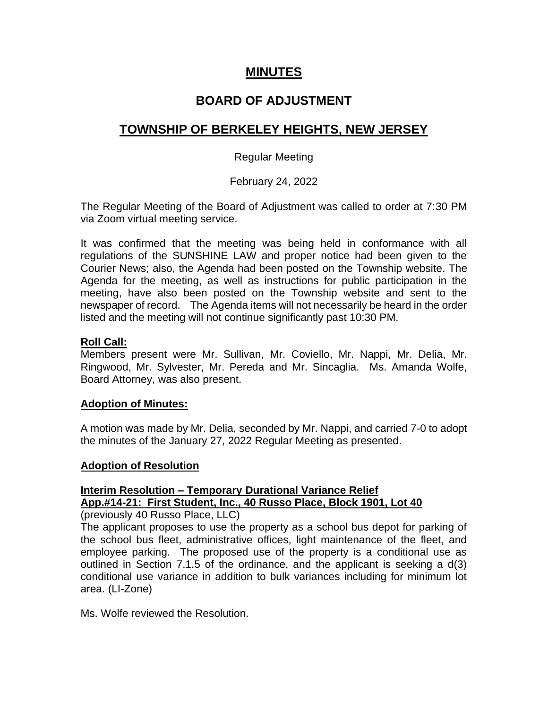# **MINUTES**

# **BOARD OF ADJUSTMENT**

# **TOWNSHIP OF BERKELEY HEIGHTS, NEW JERSEY**

# Regular Meeting

# February 24, 2022

The Regular Meeting of the Board of Adjustment was called to order at 7:30 PM via Zoom virtual meeting service.

It was confirmed that the meeting was being held in conformance with all regulations of the SUNSHINE LAW and proper notice had been given to the Courier News; also, the Agenda had been posted on the Township website. The Agenda for the meeting, as well as instructions for public participation in the meeting, have also been posted on the Township website and sent to the newspaper of record. The Agenda items will not necessarily be heard in the order listed and the meeting will not continue significantly past 10:30 PM.

### **Roll Call:**

Members present were Mr. Sullivan, Mr. Coviello, Mr. Nappi, Mr. Delia, Mr. Ringwood, Mr. Sylvester, Mr. Pereda and Mr. Sincaglia. Ms. Amanda Wolfe, Board Attorney, was also present.

### **Adoption of Minutes:**

A motion was made by Mr. Delia, seconded by Mr. Nappi, and carried 7-0 to adopt the minutes of the January 27, 2022 Regular Meeting as presented.

### **Adoption of Resolution**

# **Interim Resolution – Temporary Durational Variance Relief App.#14-21: First Student, Inc., 40 Russo Place, Block 1901, Lot 40**

(previously 40 Russo Place, LLC)

The applicant proposes to use the property as a school bus depot for parking of the school bus fleet, administrative offices, light maintenance of the fleet, and employee parking. The proposed use of the property is a conditional use as outlined in Section 7.1.5 of the ordinance, and the applicant is seeking a d(3) conditional use variance in addition to bulk variances including for minimum lot area. (LI-Zone)

Ms. Wolfe reviewed the Resolution.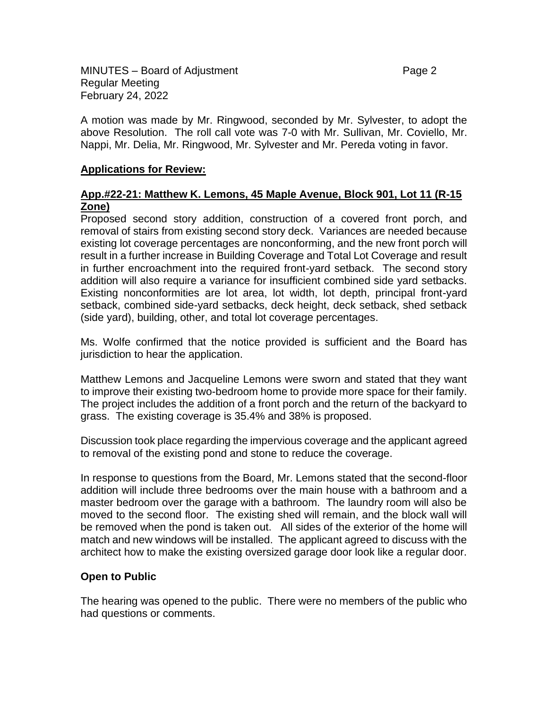A motion was made by Mr. Ringwood, seconded by Mr. Sylvester, to adopt the above Resolution. The roll call vote was 7-0 with Mr. Sullivan, Mr. Coviello, Mr. Nappi, Mr. Delia, Mr. Ringwood, Mr. Sylvester and Mr. Pereda voting in favor.

# **Applications for Review:**

# **App.#22-21: Matthew K. Lemons, 45 Maple Avenue, Block 901, Lot 11 (R-15 Zone)**

Proposed second story addition, construction of a covered front porch, and removal of stairs from existing second story deck. Variances are needed because existing lot coverage percentages are nonconforming, and the new front porch will result in a further increase in Building Coverage and Total Lot Coverage and result in further encroachment into the required front-yard setback. The second story addition will also require a variance for insufficient combined side yard setbacks. Existing nonconformities are lot area, lot width, lot depth, principal front-yard setback, combined side-yard setbacks, deck height, deck setback, shed setback (side yard), building, other, and total lot coverage percentages.

Ms. Wolfe confirmed that the notice provided is sufficient and the Board has jurisdiction to hear the application.

Matthew Lemons and Jacqueline Lemons were sworn and stated that they want to improve their existing two-bedroom home to provide more space for their family. The project includes the addition of a front porch and the return of the backyard to grass. The existing coverage is 35.4% and 38% is proposed.

Discussion took place regarding the impervious coverage and the applicant agreed to removal of the existing pond and stone to reduce the coverage.

In response to questions from the Board, Mr. Lemons stated that the second-floor addition will include three bedrooms over the main house with a bathroom and a master bedroom over the garage with a bathroom. The laundry room will also be moved to the second floor. The existing shed will remain, and the block wall will be removed when the pond is taken out. All sides of the exterior of the home will match and new windows will be installed. The applicant agreed to discuss with the architect how to make the existing oversized garage door look like a regular door.

# **Open to Public**

The hearing was opened to the public. There were no members of the public who had questions or comments.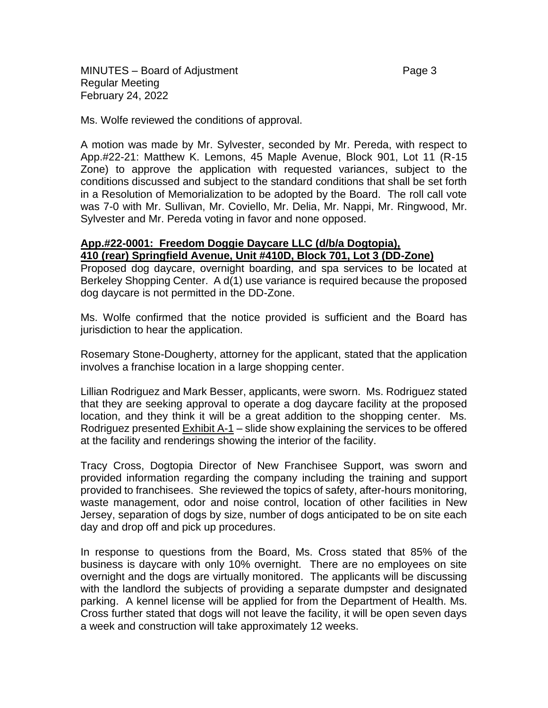MINUTES – Board of Adjustment **Page 3** and Page 3 Regular Meeting February 24, 2022

Ms. Wolfe reviewed the conditions of approval.

A motion was made by Mr. Sylvester, seconded by Mr. Pereda, with respect to App.#22-21: Matthew K. Lemons, 45 Maple Avenue, Block 901, Lot 11 (R-15 Zone) to approve the application with requested variances, subject to the conditions discussed and subject to the standard conditions that shall be set forth in a Resolution of Memorialization to be adopted by the Board. The roll call vote was 7-0 with Mr. Sullivan, Mr. Coviello, Mr. Delia, Mr. Nappi, Mr. Ringwood, Mr. Sylvester and Mr. Pereda voting in favor and none opposed.

#### **App.#22-0001: Freedom Doggie Daycare LLC (d/b/a Dogtopia), 410 (rear) Springfield Avenue, Unit #410D, Block 701, Lot 3 (DD-Zone)**

Proposed dog daycare, overnight boarding, and spa services to be located at Berkeley Shopping Center. A d(1) use variance is required because the proposed dog daycare is not permitted in the DD-Zone.

Ms. Wolfe confirmed that the notice provided is sufficient and the Board has jurisdiction to hear the application.

Rosemary Stone-Dougherty, attorney for the applicant, stated that the application involves a franchise location in a large shopping center.

Lillian Rodriguez and Mark Besser, applicants, were sworn. Ms. Rodriguez stated that they are seeking approval to operate a dog daycare facility at the proposed location, and they think it will be a great addition to the shopping center. Ms. Rodriguez presented Exhibit A-1 – slide show explaining the services to be offered at the facility and renderings showing the interior of the facility.

Tracy Cross, Dogtopia Director of New Franchisee Support, was sworn and provided information regarding the company including the training and support provided to franchisees. She reviewed the topics of safety, after-hours monitoring, waste management, odor and noise control, location of other facilities in New Jersey, separation of dogs by size, number of dogs anticipated to be on site each day and drop off and pick up procedures.

In response to questions from the Board, Ms. Cross stated that 85% of the business is daycare with only 10% overnight. There are no employees on site overnight and the dogs are virtually monitored. The applicants will be discussing with the landlord the subjects of providing a separate dumpster and designated parking. A kennel license will be applied for from the Department of Health. Ms. Cross further stated that dogs will not leave the facility, it will be open seven days a week and construction will take approximately 12 weeks.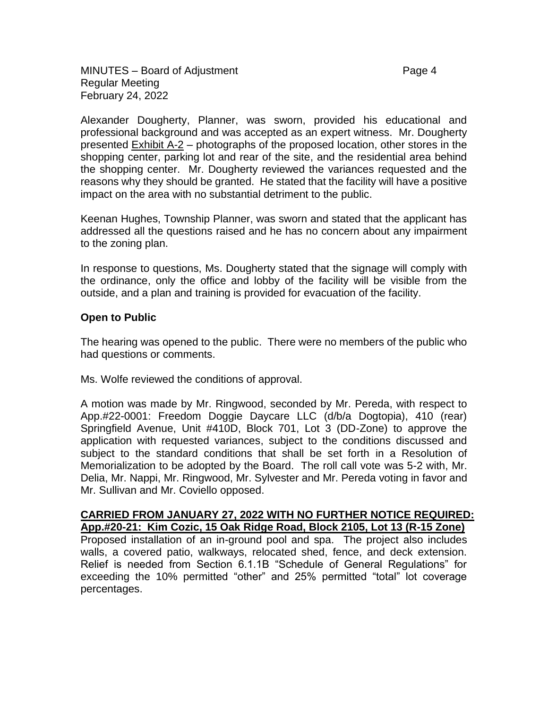Alexander Dougherty, Planner, was sworn, provided his educational and professional background and was accepted as an expert witness. Mr. Dougherty presented Exhibit A-2 – photographs of the proposed location, other stores in the shopping center, parking lot and rear of the site, and the residential area behind the shopping center. Mr. Dougherty reviewed the variances requested and the reasons why they should be granted. He stated that the facility will have a positive impact on the area with no substantial detriment to the public.

Keenan Hughes, Township Planner, was sworn and stated that the applicant has addressed all the questions raised and he has no concern about any impairment to the zoning plan.

In response to questions, Ms. Dougherty stated that the signage will comply with the ordinance, only the office and lobby of the facility will be visible from the outside, and a plan and training is provided for evacuation of the facility.

### **Open to Public**

The hearing was opened to the public. There were no members of the public who had questions or comments.

Ms. Wolfe reviewed the conditions of approval.

A motion was made by Mr. Ringwood, seconded by Mr. Pereda, with respect to App.#22-0001: Freedom Doggie Daycare LLC (d/b/a Dogtopia), 410 (rear) Springfield Avenue, Unit #410D, Block 701, Lot 3 (DD-Zone) to approve the application with requested variances, subject to the conditions discussed and subject to the standard conditions that shall be set forth in a Resolution of Memorialization to be adopted by the Board. The roll call vote was 5-2 with, Mr. Delia, Mr. Nappi, Mr. Ringwood, Mr. Sylvester and Mr. Pereda voting in favor and Mr. Sullivan and Mr. Coviello opposed.

**CARRIED FROM JANUARY 27, 2022 WITH NO FURTHER NOTICE REQUIRED: App.#20-21: Kim Cozic, 15 Oak Ridge Road, Block 2105, Lot 13 (R-15 Zone)** Proposed installation of an in-ground pool and spa. The project also includes walls, a covered patio, walkways, relocated shed, fence, and deck extension. Relief is needed from Section 6.1.1B "Schedule of General Regulations" for exceeding the 10% permitted "other" and 25% permitted "total" lot coverage percentages.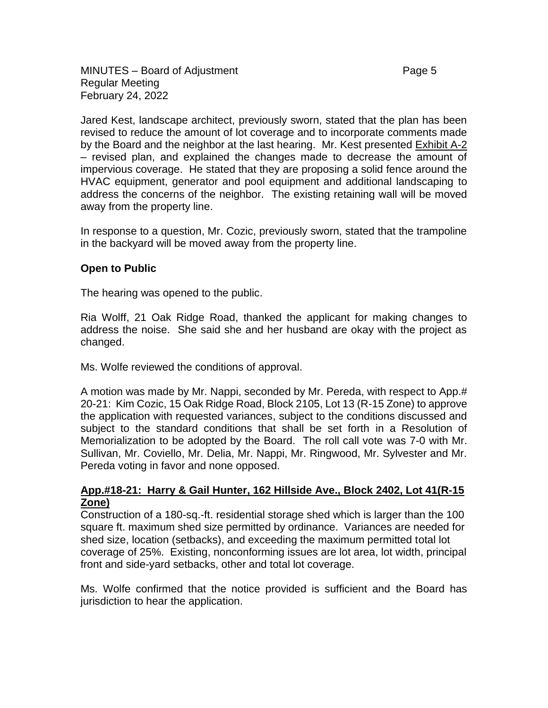Jared Kest, landscape architect, previously sworn, stated that the plan has been revised to reduce the amount of lot coverage and to incorporate comments made by the Board and the neighbor at the last hearing. Mr. Kest presented Exhibit A-2 – revised plan, and explained the changes made to decrease the amount of impervious coverage. He stated that they are proposing a solid fence around the HVAC equipment, generator and pool equipment and additional landscaping to address the concerns of the neighbor. The existing retaining wall will be moved away from the property line.

In response to a question, Mr. Cozic, previously sworn, stated that the trampoline in the backyard will be moved away from the property line.

### **Open to Public**

The hearing was opened to the public.

Ria Wolff, 21 Oak Ridge Road, thanked the applicant for making changes to address the noise. She said she and her husband are okay with the project as changed.

Ms. Wolfe reviewed the conditions of approval.

A motion was made by Mr. Nappi, seconded by Mr. Pereda, with respect to App.# 20-21: Kim Cozic, 15 Oak Ridge Road, Block 2105, Lot 13 (R-15 Zone) to approve the application with requested variances, subject to the conditions discussed and subject to the standard conditions that shall be set forth in a Resolution of Memorialization to be adopted by the Board. The roll call vote was 7-0 with Mr. Sullivan, Mr. Coviello, Mr. Delia, Mr. Nappi, Mr. Ringwood, Mr. Sylvester and Mr. Pereda voting in favor and none opposed.

#### **App.#18-21: Harry & Gail Hunter, 162 Hillside Ave., Block 2402, Lot 41(R-15 Zone)**

Construction of a 180-sq.-ft. residential storage shed which is larger than the 100 square ft. maximum shed size permitted by ordinance. Variances are needed for shed size, location (setbacks), and exceeding the maximum permitted total lot coverage of 25%. Existing, nonconforming issues are lot area, lot width, principal front and side-yard setbacks, other and total lot coverage.

Ms. Wolfe confirmed that the notice provided is sufficient and the Board has jurisdiction to hear the application.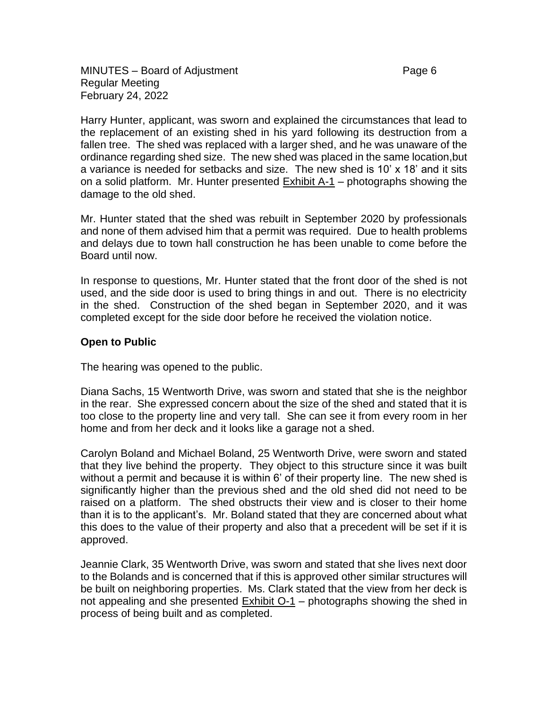Harry Hunter, applicant, was sworn and explained the circumstances that lead to the replacement of an existing shed in his yard following its destruction from a fallen tree. The shed was replaced with a larger shed, and he was unaware of the ordinance regarding shed size. The new shed was placed in the same location,but a variance is needed for setbacks and size. The new shed is 10' x 18' and it sits on a solid platform. Mr. Hunter presented Exhibit A-1 – photographs showing the damage to the old shed.

Mr. Hunter stated that the shed was rebuilt in September 2020 by professionals and none of them advised him that a permit was required. Due to health problems and delays due to town hall construction he has been unable to come before the Board until now.

In response to questions, Mr. Hunter stated that the front door of the shed is not used, and the side door is used to bring things in and out. There is no electricity in the shed. Construction of the shed began in September 2020, and it was completed except for the side door before he received the violation notice.

# **Open to Public**

The hearing was opened to the public.

Diana Sachs, 15 Wentworth Drive, was sworn and stated that she is the neighbor in the rear. She expressed concern about the size of the shed and stated that it is too close to the property line and very tall. She can see it from every room in her home and from her deck and it looks like a garage not a shed.

Carolyn Boland and Michael Boland, 25 Wentworth Drive, were sworn and stated that they live behind the property. They object to this structure since it was built without a permit and because it is within 6' of their property line. The new shed is significantly higher than the previous shed and the old shed did not need to be raised on a platform. The shed obstructs their view and is closer to their home than it is to the applicant's. Mr. Boland stated that they are concerned about what this does to the value of their property and also that a precedent will be set if it is approved.

Jeannie Clark, 35 Wentworth Drive, was sworn and stated that she lives next door to the Bolands and is concerned that if this is approved other similar structures will be built on neighboring properties. Ms. Clark stated that the view from her deck is not appealing and she presented Exhibit O-1 – photographs showing the shed in process of being built and as completed.